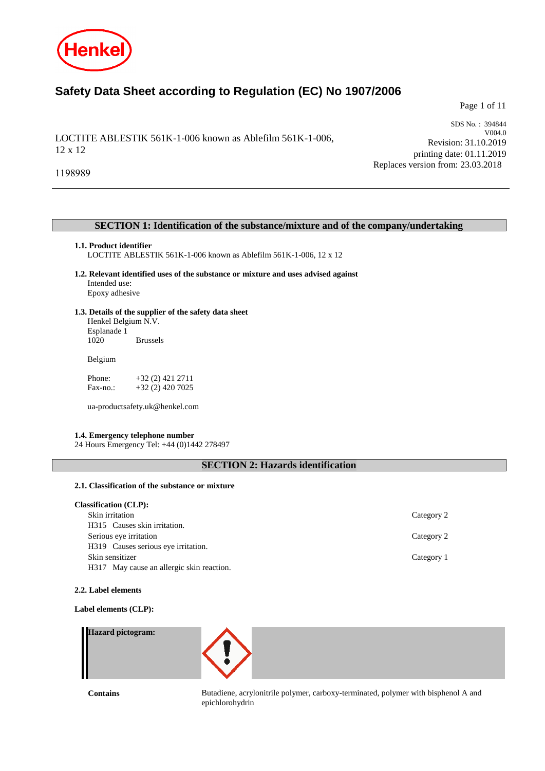

# **Safety Data Sheet according to Regulation (EC) No 1907/2006**

Page 1 of 11

LOCTITE ABLESTIK 561K-1-006 known as Ablefilm 561K-1-006, 12 x 12

SDS No. : 394844 V004.0 Revision: 31.10.2019 printing date: 01.11.2019 Replaces version from: 23.03.2018

1198989

# **SECTION 1: Identification of the substance/mixture and of the company/undertaking**

### **1.1. Product identifier**

LOCTITE ABLESTIK 561K-1-006 known as Ablefilm 561K-1-006, 12 x 12

- **1.2. Relevant identified uses of the substance or mixture and uses advised against** Intended use: Epoxy adhesive
- **1.3. Details of the supplier of the safety data sheet** Henkel Belgium N.V. Esplanade 1

**Brussels** 

Belgium

Phone: +32 (2) 421 2711<br>Fax-no.: +32 (2) 420 7025 +32 (2) 420 7025

ua-productsafety.uk@henkel.com

# **1.4. Emergency telephone number**

24 Hours Emergency Tel: +44 (0)1442 278497

# **SECTION 2: Hazards identification**

# **2.1. Classification of the substance or mixture**

| <b>Classification (CLP):</b>              |            |
|-------------------------------------------|------------|
| Skin irritation                           | Category 2 |
| H315 Causes skin irritation.              |            |
| Serious eye irritation                    | Category 2 |
| H319 Causes serious eye irritation.       |            |
| Skin sensitizer                           | Category 1 |
| H317 May cause an allergic skin reaction. |            |

#### **2.2. Label elements**

**Label elements (CLP):**

| <b>Hazard pictogram:</b> |                                                                                    |
|--------------------------|------------------------------------------------------------------------------------|
| Contains                 | Butadiene, acrylonitrile polymer, carboxy-terminated, polymer with bisphenol A and |

epichlorohydrin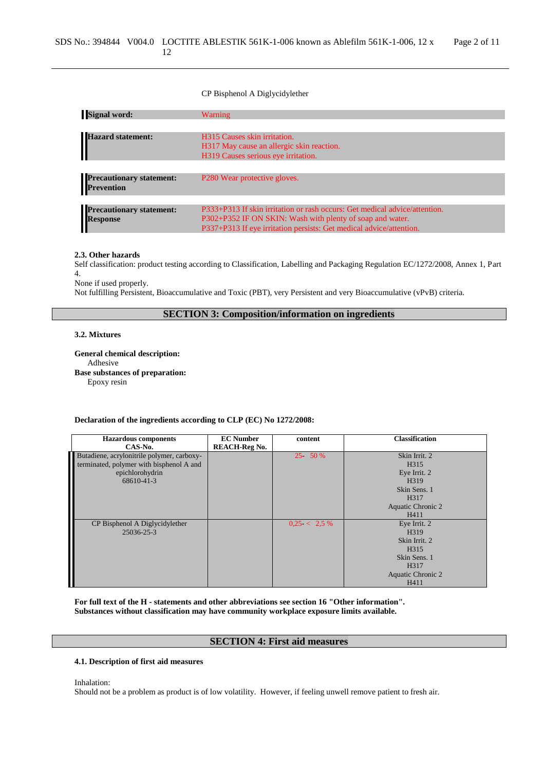### CP Bisphenol A Diglycidylether

| <b>Signal word:</b>                           | <b>Warning</b>                                                             |
|-----------------------------------------------|----------------------------------------------------------------------------|
|                                               |                                                                            |
| <b>Hazard statement:</b>                      | H315 Causes skin irritation.                                               |
|                                               | H317 May cause an allergic skin reaction.                                  |
|                                               | H319 Causes serious eye irritation.                                        |
|                                               |                                                                            |
| <b>Precautionary statement:</b><br>Prevention | P <sub>280</sub> Wear protective gloves.                                   |
|                                               |                                                                            |
| <b>Precautionary statement:</b>               | P333+P313 If skin irritation or rash occurs: Get medical advice/attention. |
|                                               | P302+P352 IF ON SKIN: Wash with plenty of soap and water.                  |
| Response                                      | P337+P313 If eye irritation persists: Get medical advice/attention.        |

#### **2.3. Other hazards**

Self classification: product testing according to Classification, Labelling and Packaging Regulation EC/1272/2008, Annex 1, Part 4.

None if used properly.

Not fulfilling Persistent, Bioaccumulative and Toxic (PBT), very Persistent and very Bioaccumulative (vPvB) criteria.

# **SECTION 3: Composition/information on ingredients**

# **3.2. Mixtures**

**General chemical description:** Adhesive **Base substances of preparation:** Epoxy resin

**Declaration of the ingredients according to CLP (EC) No 1272/2008:**

| <b>Hazardous</b> components                | <b>EC</b> Number     | content         | <b>Classification</b> |
|--------------------------------------------|----------------------|-----------------|-----------------------|
| CAS-No.                                    | <b>REACH-Reg No.</b> |                 |                       |
| Butadiene, acrylonitrile polymer, carboxy- |                      | $25 - 50%$      | Skin Irrit. 2         |
| terminated, polymer with bisphenol A and   |                      |                 | H315                  |
| epichlorohydrin                            |                      |                 | Eye Irrit. 2          |
| 68610-41-3                                 |                      |                 | H319                  |
|                                            |                      |                 | Skin Sens. 1          |
|                                            |                      |                 | H317                  |
|                                            |                      |                 | Aquatic Chronic 2     |
|                                            |                      |                 | H411                  |
| CP Bisphenol A Diglycidylether             |                      | $0.25 < 2.5 \%$ | Eye Irrit. 2          |
| 25036-25-3                                 |                      |                 | H <sub>3</sub> 19     |
|                                            |                      |                 | Skin Irrit. 2         |
|                                            |                      |                 | H315                  |
|                                            |                      |                 | Skin Sens. 1          |
|                                            |                      |                 | H317                  |
|                                            |                      |                 | Aquatic Chronic 2     |
|                                            |                      |                 | H411                  |

**For full text of the H - statements and other abbreviations see section 16 "Other information". Substances without classification may have community workplace exposure limits available.**

# **SECTION 4: First aid measures**

### **4.1. Description of first aid measures**

Inhalation:

Should not be a problem as product is of low volatility. However, if feeling unwell remove patient to fresh air.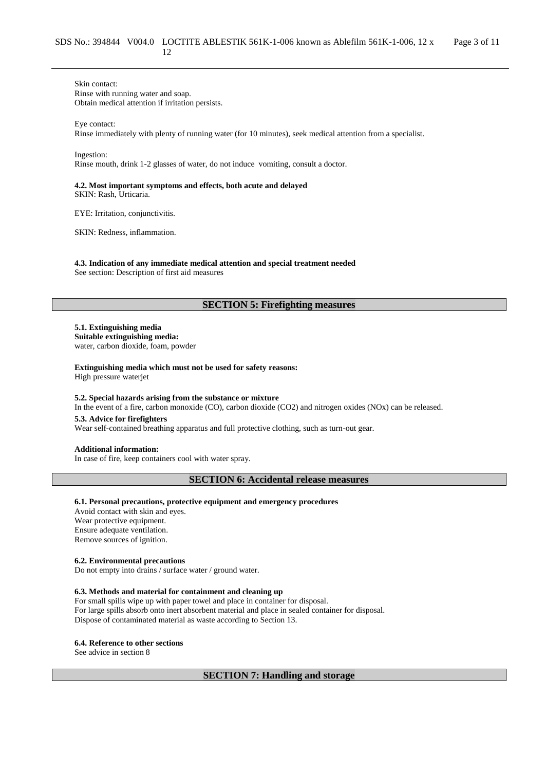Skin contact: Rinse with running water and soap. Obtain medical attention if irritation persists.

Eye contact: Rinse immediately with plenty of running water (for 10 minutes), seek medical attention from a specialist.

Ingestion:

Rinse mouth, drink 1-2 glasses of water, do not induce vomiting, consult a doctor.

### **4.2. Most important symptoms and effects, both acute and delayed** SKIN: Rash, Urticaria.

EYE: Irritation, conjunctivitis.

SKIN: Redness, inflammation.

**4.3. Indication of any immediate medical attention and special treatment needed** See section: Description of first aid measures

# **SECTION 5: Firefighting measures**

**5.1. Extinguishing media Suitable extinguishing media:**

water, carbon dioxide, foam, powder

**Extinguishing media which must not be used for safety reasons:**

High pressure waterjet

### **5.2. Special hazards arising from the substance or mixture**

In the event of a fire, carbon monoxide (CO), carbon dioxide (CO2) and nitrogen oxides (NOx) can be released.

**5.3. Advice for firefighters**

Wear self-contained breathing apparatus and full protective clothing, such as turn-out gear.

**Additional information:**

In case of fire, keep containers cool with water spray.

**SECTION 6: Accidental release measures**

### **6.1. Personal precautions, protective equipment and emergency procedures**

Avoid contact with skin and eyes. Wear protective equipment. Ensure adequate ventilation. Remove sources of ignition.

### **6.2. Environmental precautions**

Do not empty into drains / surface water / ground water.

### **6.3. Methods and material for containment and cleaning up**

For small spills wipe up with paper towel and place in container for disposal. For large spills absorb onto inert absorbent material and place in sealed container for disposal. Dispose of contaminated material as waste according to Section 13.

# **6.4. Reference to other sections**

See advice in section 8

**SECTION 7: Handling and storage**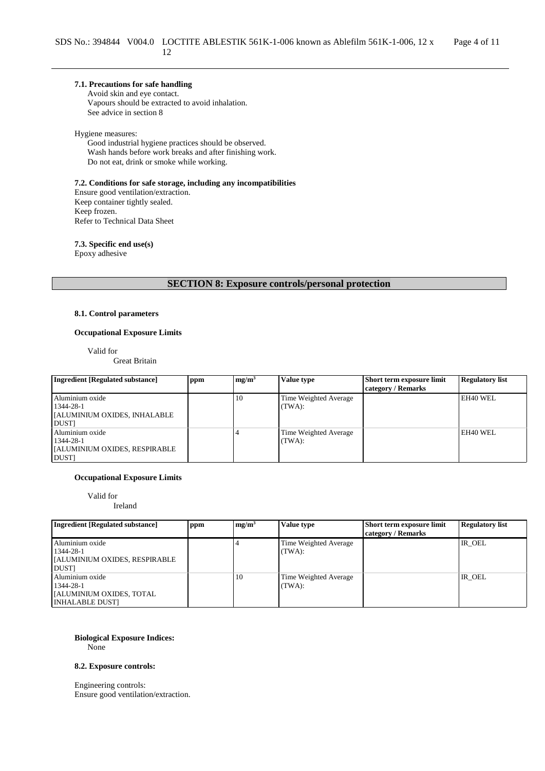# **7.1. Precautions for safe handling**

Avoid skin and eye contact. Vapours should be extracted to avoid inhalation. See advice in section 8

#### Hygiene measures:

Good industrial hygiene practices should be observed. Wash hands before work breaks and after finishing work. Do not eat, drink or smoke while working.

**7.2. Conditions for safe storage, including any incompatibilities** Ensure good ventilation/extraction. Keep container tightly sealed. Keep frozen. Refer to Technical Data Sheet

**7.3. Specific end use(s)**

Epoxy adhesive

**SECTION 8: Exposure controls/personal protection**

### **8.1. Control parameters**

### **Occupational Exposure Limits**

Valid for

Great Britain

| Ingredient [Regulated substance] | ppm | mg/m <sup>3</sup> | Value type            | Short term exposure limit | <b>Regulatory list</b> |
|----------------------------------|-----|-------------------|-----------------------|---------------------------|------------------------|
|                                  |     |                   |                       | category / Remarks        |                        |
| Aluminium oxide                  |     | 10                | Time Weighted Average |                           | EH40 WEL               |
| 1344-28-1                        |     |                   | (TWA):                |                           |                        |
| [ALUMINIUM OXIDES, INHALABLE]    |     |                   |                       |                           |                        |
| <b>DUST</b>                      |     |                   |                       |                           |                        |
| Aluminium oxide                  |     |                   | Time Weighted Average |                           | EH40 WEL               |
| 1344-28-1                        |     |                   | (TWA):                |                           |                        |
| [ALUMINIUM OXIDES, RESPIRABLE]   |     |                   |                       |                           |                        |
| <b>DUSTI</b>                     |     |                   |                       |                           |                        |

#### **Occupational Exposure Limits**

Valid for Ireland

| 11 v. a. 11 u               |  |
|-----------------------------|--|
|                             |  |
|                             |  |
| dient [Reoulated substance] |  |

| <b>Ingredient</b> [Regulated substance]             | ppm | mg/m <sup>3</sup> | Value type                      | Short term exposure limit<br>category / Remarks | <b>Regulatory list</b> |
|-----------------------------------------------------|-----|-------------------|---------------------------------|-------------------------------------------------|------------------------|
| Aluminium oxide<br>1344-28-1                        |     |                   | Time Weighted Average<br>(TWA): |                                                 | IR OEL                 |
| <b>JALUMINIUM OXIDES, RESPIRABLE</b><br><b>DUST</b> |     |                   |                                 |                                                 |                        |
| Aluminium oxide<br>1344-28-1                        |     | 10                | Time Weighted Average<br>(TWA): |                                                 | IR OEL                 |
| [ALUMINIUM OXIDES, TOTAL]<br><b>INHALABLE DUSTI</b> |     |                   |                                 |                                                 |                        |

# **Biological Exposure Indices:**

None

### **8.2. Exposure controls:**

Engineering controls: Ensure good ventilation/extraction.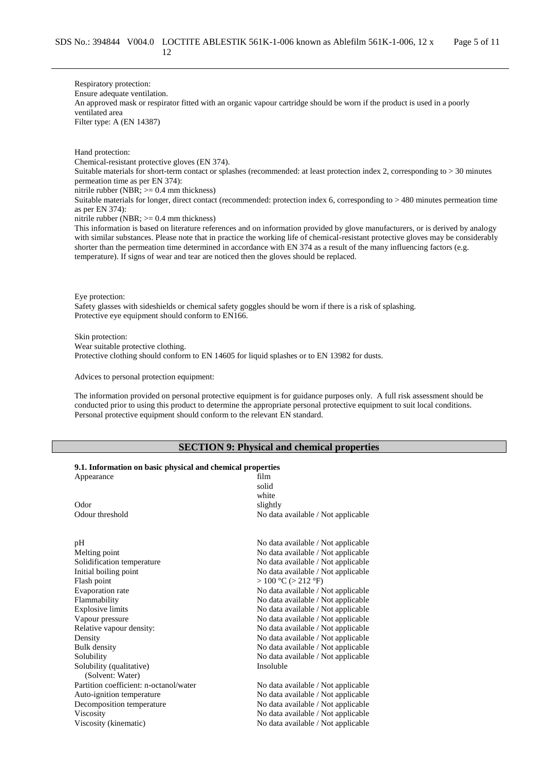Respiratory protection: Ensure adequate ventilation. An approved mask or respirator fitted with an organic vapour cartridge should be worn if the product is used in a poorly ventilated area Filter type: A (EN 14387)

Hand protection:

Chemical-resistant protective gloves (EN 374).

Suitable materials for short-term contact or splashes (recommended: at least protection index 2, corresponding to > 30 minutes permeation time as per EN 374):

nitrile rubber (NBR;  $>= 0.4$  mm thickness)

Suitable materials for longer, direct contact (recommended: protection index 6, corresponding to > 480 minutes permeation time as per EN 374):

nitrile rubber (NBR;  $>= 0.4$  mm thickness)

This information is based on literature references and on information provided by glove manufacturers, or is derived by analogy with similar substances. Please note that in practice the working life of chemical-resistant protective gloves may be considerably shorter than the permeation time determined in accordance with EN 374 as a result of the many influencing factors (e.g. temperature). If signs of wear and tear are noticed then the gloves should be replaced.

Eye protection:

Safety glasses with sideshields or chemical safety goggles should be worn if there is a risk of splashing. Protective eye equipment should conform to EN166.

Skin protection: Wear suitable protective clothing. Protective clothing should conform to EN 14605 for liquid splashes or to EN 13982 for dusts.

Advices to personal protection equipment:

The information provided on personal protective equipment is for guidance purposes only. A full risk assessment should be conducted prior to using this product to determine the appropriate personal protective equipment to suit local conditions. Personal protective equipment should conform to the relevant EN standard.

# **SECTION 9: Physical and chemical properties**

| 9.1. Information on basic physical and chemical properties |  |  |  |  |
|------------------------------------------------------------|--|--|--|--|
|------------------------------------------------------------|--|--|--|--|

| Appearance                                   | film<br>solid<br>white             |
|----------------------------------------------|------------------------------------|
| Odor                                         | slightly                           |
| Odour threshold                              | No data available / Not applicable |
| pH                                           | No data available / Not applicable |
| Melting point                                | No data available / Not applicable |
| Solidification temperature                   | No data available / Not applicable |
| Initial boiling point                        | No data available / Not applicable |
| Flash point                                  | >100 °C (> 212 °F)                 |
| Evaporation rate                             | No data available / Not applicable |
| Flammability                                 | No data available / Not applicable |
| <b>Explosive limits</b>                      | No data available / Not applicable |
| Vapour pressure                              | No data available / Not applicable |
| Relative vapour density:                     | No data available / Not applicable |
| Density                                      | No data available / Not applicable |
| <b>Bulk</b> density                          | No data available / Not applicable |
| Solubility                                   | No data available / Not applicable |
| Solubility (qualitative)<br>(Solvent: Water) | Insoluble                          |
| Partition coefficient: n-octanol/water       | No data available / Not applicable |
| Auto-ignition temperature                    | No data available / Not applicable |
| Decomposition temperature                    | No data available / Not applicable |
| Viscosity                                    | No data available / Not applicable |
| Viscosity (kinematic)                        | No data available / Not applicable |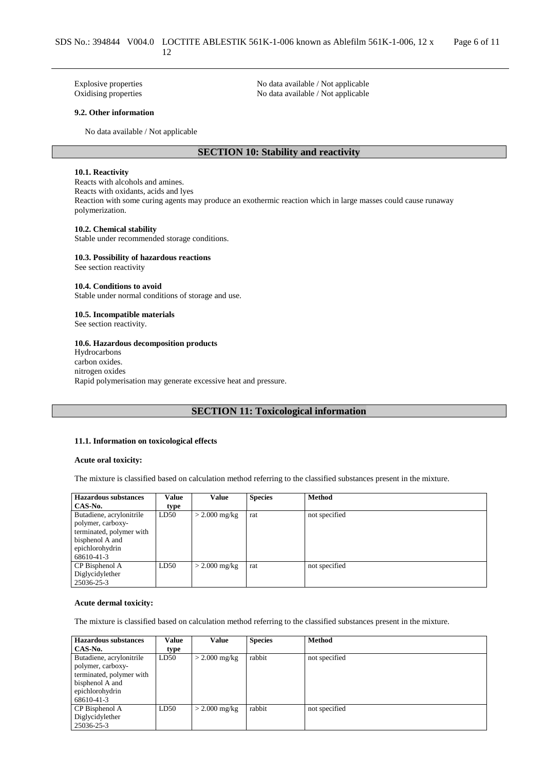Explosive properties No data available / Not applicable Oxidising properties No data available / Not applicable No data available / Not applicable

#### **9.2. Other information**

No data available / Not applicable

# **SECTION 10: Stability and reactivity**

### **10.1. Reactivity**

Reacts with alcohols and amines. Reacts with oxidants, acids and lyes Reaction with some curing agents may produce an exothermic reaction which in large masses could cause runaway polymerization.

### **10.2. Chemical stability**

Stable under recommended storage conditions.

#### **10.3. Possibility of hazardous reactions** See section reactivity

**10.4. Conditions to avoid**

Stable under normal conditions of storage and use.

### **10.5. Incompatible materials**

See section reactivity.

### **10.6. Hazardous decomposition products**

Hydrocarbons carbon oxides. nitrogen oxides Rapid polymerisation may generate excessive heat and pressure.

# **SECTION 11: Toxicological information**

### **11.1. Information on toxicological effects**

#### **Acute oral toxicity:**

The mixture is classified based on calculation method referring to the classified substances present in the mixture.

| <b>Hazardous substances</b> | Value | Value           | <b>Species</b> | <b>Method</b> |
|-----------------------------|-------|-----------------|----------------|---------------|
| CAS-No.                     | type  |                 |                |               |
| Butadiene, acrylonitrile    | LD50  | $>$ 2.000 mg/kg | rat            | not specified |
| polymer, carboxy-           |       |                 |                |               |
| terminated, polymer with    |       |                 |                |               |
| bisphenol A and             |       |                 |                |               |
| epichlorohydrin             |       |                 |                |               |
| 68610-41-3                  |       |                 |                |               |
| CP Bisphenol A              | LD50  | $>$ 2.000 mg/kg | rat            | not specified |
| Diglycidylether             |       |                 |                |               |
| 25036-25-3                  |       |                 |                |               |

#### **Acute dermal toxicity:**

The mixture is classified based on calculation method referring to the classified substances present in the mixture.

| <b>Hazardous substances</b> | Value | Value           | <b>Species</b> | <b>Method</b> |
|-----------------------------|-------|-----------------|----------------|---------------|
| CAS-No.                     | type  |                 |                |               |
| Butadiene, acrylonitrile    | LD50  | $>$ 2.000 mg/kg | rabbit         | not specified |
| polymer, carboxy-           |       |                 |                |               |
| terminated, polymer with    |       |                 |                |               |
| bisphenol A and             |       |                 |                |               |
| epichlorohydrin             |       |                 |                |               |
| 68610-41-3                  |       |                 |                |               |
| CP Bisphenol A              | LD50  | $>$ 2.000 mg/kg | rabbit         | not specified |
| Diglycidylether             |       |                 |                |               |
| 25036-25-3                  |       |                 |                |               |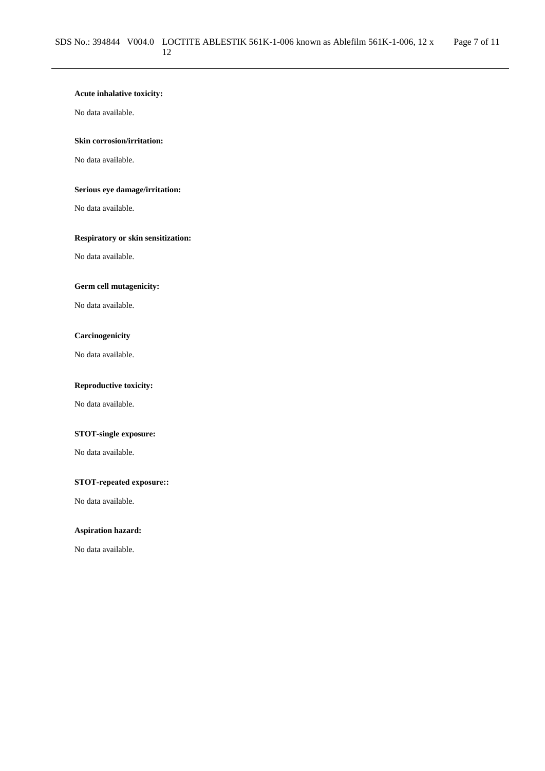# **Acute inhalative toxicity:**

No data available.

# **Skin corrosion/irritation:**

No data available.

# **Serious eye damage/irritation:**

No data available.

# **Respiratory or skin sensitization:**

No data available.

# **Germ cell mutagenicity:**

No data available.

# **Carcinogenicity**

No data available.

# **Reproductive toxicity:**

No data available.

# **STOT-single exposure:**

No data available.

### **STOT-repeated exposure::**

No data available.

# **Aspiration hazard:**

No data available.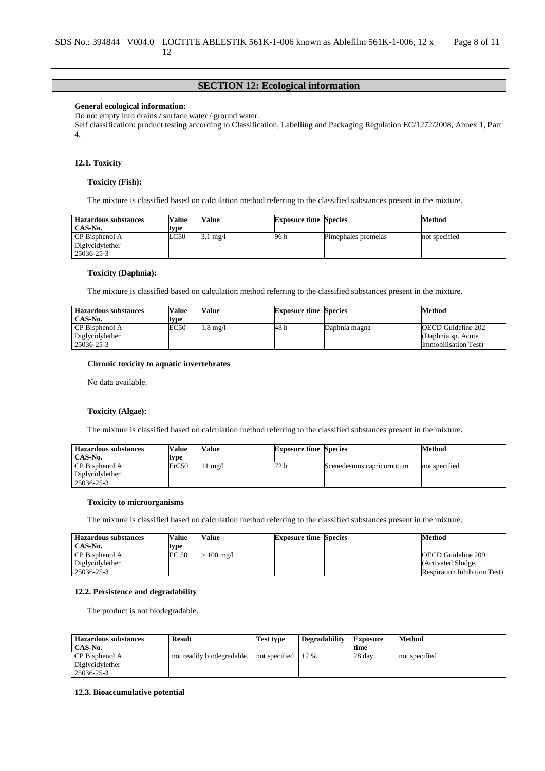# **SECTION 12: Ecological information**

#### **General ecological information:**

Do not empty into drains / surface water / ground water.

Self classification: product testing according to Classification, Labelling and Packaging Regulation EC/1272/2008, Annex 1, Part 4.

### **12.1. Toxicity**

#### **Toxicity (Fish):**

The mixture is classified based on calculation method referring to the classified substances present in the mixture.

| <b>Hazardous substances</b> | Value | Value | <b>Exposure time Species</b> |                     | Method        |
|-----------------------------|-------|-------|------------------------------|---------------------|---------------|
| CAS-No.                     | type  |       |                              |                     |               |
| CP Bisphenol A              | LC50  | mg/l  | 96 h                         | Pimephales promelas | not specified |
| Diglycidylether             |       |       |                              |                     |               |
| 25036-25-3                  |       |       |                              |                     |               |

### **Toxicity (Daphnia):**

The mixture is classified based on calculation method referring to the classified substances present in the mixture.

| <b>Hazardous substances</b> | Value | <b>Value</b>       | <b>Exposure time Species</b> |               | Method                       |
|-----------------------------|-------|--------------------|------------------------------|---------------|------------------------------|
| CAS-No.                     | type  |                    |                              |               |                              |
| CP Bisphenol A              | EC50  | $1.8 \text{ mg}/l$ | 48 h                         | Daphnia magna | OECD Guideline 202           |
| Diglycidylether             |       |                    |                              |               | (Daphnia sp. Acute)          |
| 25036-25-3                  |       |                    |                              |               | <b>Immobilisation Test</b> ) |

#### **Chronic toxicity to aquatic invertebrates**

No data available.

#### **Toxicity (Algae):**

The mixture is classified based on calculation method referring to the classified substances present in the mixture.

| <b>Hazardous substances</b><br>CAS-No.          | <b>Value</b><br>type | Value             | <b>Exposure time Species</b> |                           | Method        |
|-------------------------------------------------|----------------------|-------------------|------------------------------|---------------------------|---------------|
| CP Bisphenol A<br>Diglycidylether<br>25036-25-3 | ErC50                | $11 \text{ mg}/1$ | 72 h                         | Scenedesmus capricornutum | not specified |

### **Toxicity to microorganisms**

The mixture is classified based on calculation method referring to the classified substances present in the mixture.

| <b>Hazardous substances</b> | Value | Value              | <b>Exposure time Species</b> | Method                              |
|-----------------------------|-------|--------------------|------------------------------|-------------------------------------|
| CAS-No.                     | type  |                    |                              |                                     |
| CP Bisphenol A              | EC 50 | $100 \text{ mg}/1$ |                              | <b>OECD</b> Guideline 209           |
| Diglycidylether             |       |                    |                              | (Activated Sludge,                  |
| 25036-25-3                  |       |                    |                              | <b>Respiration Inhibition Test)</b> |

### **12.2. Persistence and degradability**

The product is not biodegradable.

| <b>Hazardous substances</b> | <b>Result</b>              | <b>Test type</b> | <b>Degradability</b> | <b>Exposure</b> | Method        |
|-----------------------------|----------------------------|------------------|----------------------|-----------------|---------------|
| CAS-No.                     |                            |                  |                      | time            |               |
| CP Bisphenol A              | not readily biodegradable. | not specified    | 12 %                 | 28 day          | not specified |
| Diglycidylether             |                            |                  |                      |                 |               |
| 25036-25-3                  |                            |                  |                      |                 |               |

### **12.3. Bioaccumulative potential**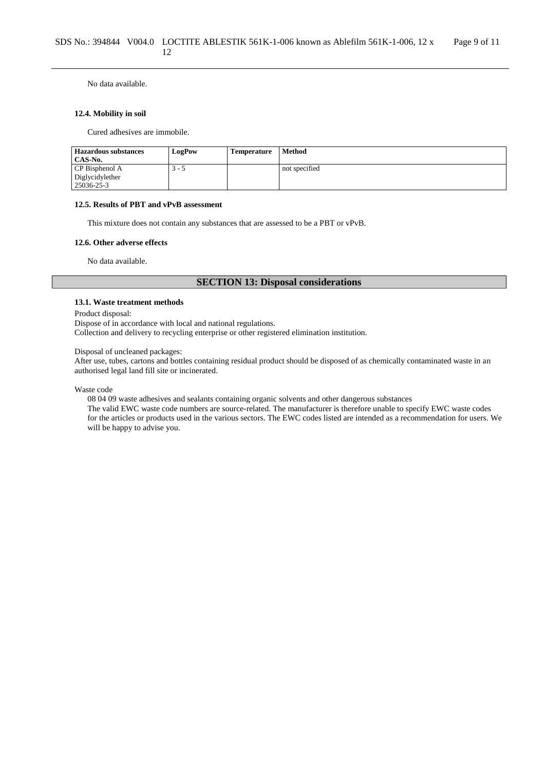No data available.

### **12.4. Mobility in soil**

Cured adhesives are immobile.

| <b>Hazardous substances</b> | LogPow | <b>Temperature</b> | <b>Method</b> |
|-----------------------------|--------|--------------------|---------------|
| CAS-No.                     |        |                    |               |
| CP Bisphenol A              | ر - `  |                    | not specified |
| Diglycidylether             |        |                    |               |
| 25036-25-3                  |        |                    |               |

### **12.5. Results of PBT and vPvB assessment**

This mixture does not contain any substances that are assessed to be a PBT or vPvB.

#### **12.6. Other adverse effects**

No data available.

# **SECTION 13: Disposal considerations**

### **13.1. Waste treatment methods**

Product disposal:

Dispose of in accordance with local and national regulations.

Collection and delivery to recycling enterprise or other registered elimination institution.

#### Disposal of uncleaned packages:

After use, tubes, cartons and bottles containing residual product should be disposed of as chemically contaminated waste in an authorised legal land fill site or incinerated.

Waste code

08 04 09 waste adhesives and sealants containing organic solvents and other dangerous substances

The valid EWC waste code numbers are source-related. The manufacturer is therefore unable to specify EWC waste codes for the articles or products used in the various sectors. The EWC codes listed are intended as a recommendation for users. We will be happy to advise you.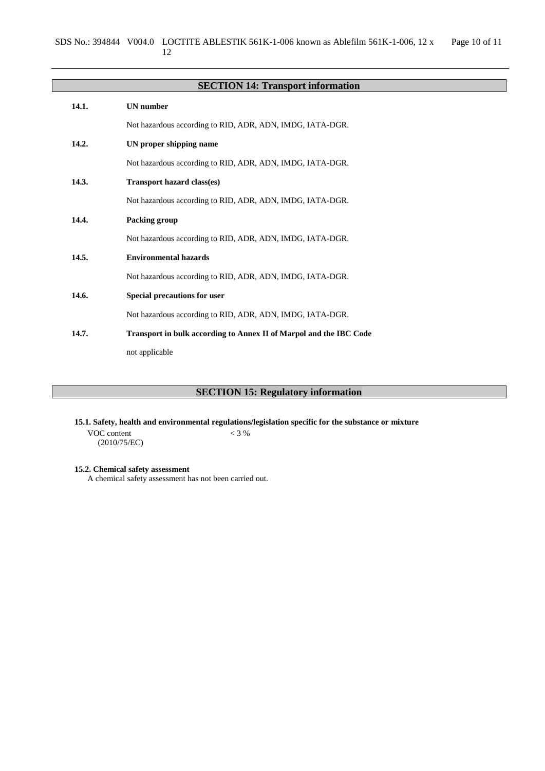|       | <b>SECTION 14: Transport information</b>                           |
|-------|--------------------------------------------------------------------|
| 14.1. | <b>UN</b> number                                                   |
|       | Not hazardous according to RID, ADR, ADN, IMDG, IATA-DGR.          |
| 14.2. | UN proper shipping name                                            |
|       | Not hazardous according to RID, ADR, ADN, IMDG, IATA-DGR.          |
| 14.3. | <b>Transport hazard class(es)</b>                                  |
|       | Not hazardous according to RID, ADR, ADN, IMDG, IATA-DGR.          |
| 14.4. | Packing group                                                      |
|       | Not hazardous according to RID, ADR, ADN, IMDG, IATA-DGR.          |
| 14.5. | <b>Environmental hazards</b>                                       |
|       | Not hazardous according to RID, ADR, ADN, IMDG, IATA-DGR.          |
| 14.6. | Special precautions for user                                       |
|       | Not hazardous according to RID, ADR, ADN, IMDG, IATA-DGR.          |
| 14.7. | Transport in bulk according to Annex II of Marpol and the IBC Code |
|       | not applicable                                                     |

# **SECTION 15: Regulatory information**

**15.1. Safety, health and environmental regulations/legislation specific for the substance or mixture**

VOC content (2010/75/EC)  $< 3 %$ 

**15.2. Chemical safety assessment**

A chemical safety assessment has not been carried out.